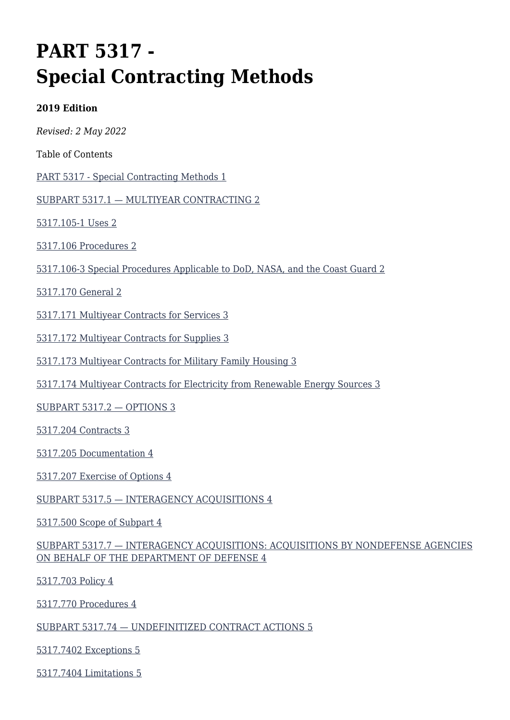# **PART 5317 - Special Contracting Methods**

#### **2019 Edition**

*Revised: 2 May 2022*

Table of Contents

[PART 5317 - Special Contracting Methods 1](#page--1-0)

[SUBPART 5317.1 — MULTIYEAR CONTRACTING 2](#page--1-0)

[5317.105-1 Uses 2](#page--1-0)

[5317.106 Procedures 2](#page--1-0)

[5317.106-3 Special Procedures Applicable to DoD, NASA, and the Coast Guard 2](#page--1-0)

[5317.170 General 2](#page--1-0)

[5317.171 Multiyear Contracts for Services 3](#page--1-0)

[5317.172 Multiyear Contracts for Supplies 3](#page--1-0)

[5317.173 Multiyear Contracts for Military Family Housing 3](#page--1-0)

[5317.174 Multiyear Contracts for Electricity from Renewable Energy Sources 3](#page--1-0)

[SUBPART 5317.2 — OPTIONS 3](#page--1-0)

[5317.204 Contracts 3](#page--1-0)

[5317.205 Documentation 4](#page--1-0)

[5317.207 Exercise of Options 4](#page--1-0)

[SUBPART 5317.5 — INTERAGENCY ACQUISITIONS 4](#page--1-0)

[5317.500 Scope of Subpart 4](#page--1-0)

#### [SUBPART 5317.7 — INTERAGENCY ACQUISITIONS: ACQUISITIONS BY NONDEFENSE AGENCIES](#page--1-0) [ON BEHALF OF THE DEPARTMENT OF DEFENSE 4](#page--1-0)

[5317.703 Policy 4](#page--1-0)

[5317.770 Procedures 4](#page--1-0)

[SUBPART 5317.74 — UNDEFINITIZED CONTRACT ACTIONS 5](#page--1-0)

[5317.7402 Exceptions 5](#page--1-0)

[5317.7404 Limitations 5](#page--1-0)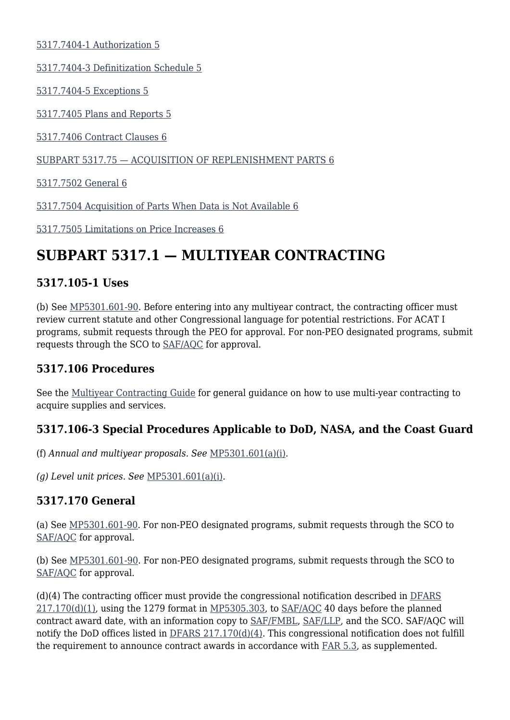[5317.7404-1 Authorization 5](#page--1-0)

[5317.7404-3 Definitization Schedule 5](#page--1-0)

[5317.7404-5 Exceptions 5](#page--1-0)

[5317.7405 Plans and Reports 5](#page--1-0)

[5317.7406 Contract Clauses 6](#page--1-0)

[SUBPART 5317.75 — ACQUISITION OF REPLENISHMENT PARTS 6](#page--1-0)

[5317.7502 General 6](#page--1-0)

[5317.7504 Acquisition of Parts When Data is Not Available 6](#page--1-0)

[5317.7505 Limitations on Price Increases 6](#page--1-0)

# **SUBPART 5317.1 — MULTIYEAR CONTRACTING**

### **5317.105-1 Uses**

(b) See [MP5301.601-90.](https://origin-www.acquisition.gov/%5Brp:link:affars-mp-file:///%5C%5Cperiwinkle_vnx%5Csaf_aqc_org%5CAQCP%5C5640%20-%20AFFARS%5CArchive%20--%20AFACs%5C!_Previous%20AFACs%5C2022%5C2022%20(01)%5C2.%20%20Changes%20Accepted%5Cmp_5301.601-90%5D) Before entering into any multiyear contract, the contracting officer must review current statute and other Congressional language for potential restrictions. For ACAT I programs, submit requests through the PEO for approval. For non-PEO designated programs, submit requests through the SCO to [SAF/AQC](mailto:SAF.AQ.SAF-AQC.Workflow@us.af.mil) for approval.

### **5317.106 Procedures**

See the [Multiyear Contracting Guide](https://usaf.dps.mil/sites/AFCC/KnowledgeCenter/Documents/Other_Pubs/Other_Guides/multi_year_contracting_guide.docx) for general guidance on how to use multi-year contracting to acquire supplies and services.

### **5317.106-3 Special Procedures Applicable to DoD, NASA, and the Coast Guard**

(f) *Annual and multiyear proposals. See* [MP5301.601\(a\)\(i\)](https://origin-www.acquisition.gov/%5Brp:link:affars-mp-AFFARS-MP_PART-mp_5301.601(a)(i)%5D#p53171063f)*.*

*(g) Level unit prices. See* [MP5301.601\(a\)\(i\)](https://origin-www.acquisition.gov/%5Brp:link:affars-mp-AFFARS-MP_PART-mp_5301.601(a)(i)%5D#p53171063g)*.*

### **5317.170 General**

(a) See [MP5301.601-90.](https://origin-www.acquisition.gov/%5Brp:link:affars-mp-AFFARS-MP_PART-mp_5301.601-90%5D) For non-PEO designated programs, submit requests through the SCO to [SAF/AQC](mailto:SAF.AQ.SAF-AQC.Workflow@us.af.mil) for approval.

(b) See [MP5301.601-90](https://origin-www.acquisition.gov/%5Brp:link:affars-mp-file:///%5C%5Cperiwinkle_vnx%5Csaf_aqc_org%5CAQCP%5C5640%20-%20AFFARS%5CArchive%20--%20AFACs%5C!_Previous%20AFACs%5C2022%5C2022%20(01)%5C2.%20%20Changes%20Accepted%5Cmp_5301.601-90%5D). For non-PEO designated programs, submit requests through the SCO to [SAF/AQC](mailto:SAF.AQ.SAF-AQC.Workflow@us.af.mil) for approval.

(d)(4) The contracting officer must provide the congressional notification described in [DFARS](https://www.acquisition.gov/dfars/part-217-special-contracting-methods#DFARS-217.170)  $217.170(d)(1)$ , using the 1279 format in [MP5305.303](https://origin-www.acquisition.gov/%5Brp:link:affars-mp-AFFARS-MP_PART-mp_5305.303%5D), to [SAF/AQC](mailto:SAF.AQ.SAF-AQC.Workflow@us.af.mil) 40 days before the planned contract award date, with an information copy to [SAF/FMBL](mailto:SAF.FMBL.Budget-Appropriations.Liaison@us.af.mil), [SAF/LLP,](mailto:SAF.LLP.Workflow@us.af.mil) and the SCO. SAF/AQC will notify the DoD offices listed in [DFARS 217.170\(d\)\(4\)](https://www.acquisition.gov/dfars/part-217-special-contracting-methods#DFARS-217.170). This congressional notification does not fulfill the requirement to announce contract awards in accordance with [FAR 5.3](https://www.acquisition.gov/far/part-5#FAR_Subpart_5_3), as supplemented.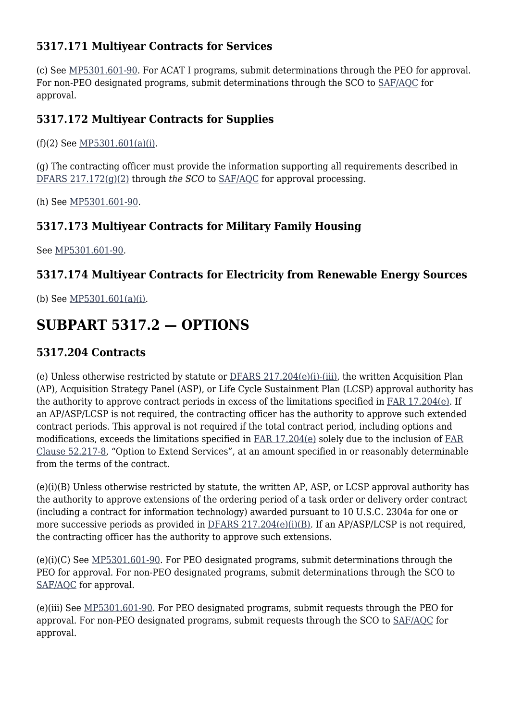### **5317.171 Multiyear Contracts for Services**

(c) See [MP5301.601-90](https://origin-www.acquisition.gov/%5Brp:link:affars-mp-file:///%5C%5Cperiwinkle_vnx%5Csaf_aqc_org%5CAQCP%5C5640%20-%20AFFARS%5CArchive%20--%20AFACs%5C!_Previous%20AFACs%5C2022%5C2022%20(01)%5C2.%20%20Changes%20Accepted%5Cmp_5301.601-90%5D). For ACAT I programs, submit determinations through the PEO for approval. For non-PEO designated programs, submit determinations through the SCO to [SAF/AQC](mailto:SAF.AQ.SAF-AQC.Workflow@us.af.mil) for approval.

### **5317.172 Multiyear Contracts for Supplies**

(f)(2) See [MP5301.601\(a\)\(i\)](https://origin-www.acquisition.gov/%5Brp:link:affars-mp-AFFARS-MP_PART-mp_5301.601(a)(i)%5D#p5317172e2).

(g) The contracting officer must provide the information supporting all requirements described in [DFARS 217.172\(g\)\(2\)](https://www.acquisition.gov/dfars/part-217-special-contracting-methods#DFARS-217.172) through *the SCO* to [SAF/AQC](mailto:SAF.AQ.SAF-AQC.Workflow@us.af.mil) for approval processing.

(h) See [MP5301.601-90](https://origin-www.acquisition.gov/%5Brp:link:affars-mp-file:///%5C%5Cperiwinkle_vnx%5Csaf_aqc_org%5CAQCP%5C5640%20-%20AFFARS%5CArchive%20--%20AFACs%5C!_Previous%20AFACs%5C2022%5C2022%20(01)%5C2.%20%20Changes%20Accepted%5Cmp_5301.601-90%5D).

### **5317.173 Multiyear Contracts for Military Family Housing**

See [MP5301.601-90](https://origin-www.acquisition.gov/%5Brp:link:affars-mp-file:///%5C%5Cperiwinkle_vnx%5Csaf_aqc_org%5CAQCP%5C5640%20-%20AFFARS%5CArchive%20--%20AFACs%5C!_Previous%20AFACs%5C2022%5C2022%20(01)%5C2.%20%20Changes%20Accepted%5Cmp_5301.601-90%5D).

### **5317.174 Multiyear Contracts for Electricity from Renewable Energy Sources**

(b) See [MP5301.601\(a\)\(i\)](https://origin-www.acquisition.gov/%5Brp:link:affars-mp-%5C%5C%5C%5Cperiwinkle_vnx%5C%5Csaf_aqc_org%5C%5CAQCP%5C%5C5640%20-%20AFFARS%5C%5CAFAC%20Working%20Folders%5C%5CAFAC%202022%20(01)%5C%5CB.%20%20AO%20Working%20Folders%5C%5CStevens%20AFAC%202022%20-%20wkg%5C%5Cmp_5301.601(a)(i)%5D)*.*

# **SUBPART 5317.2 — OPTIONS**

### **5317.204 Contracts**

(e) Unless otherwise restricted by statute or [DFARS 217.204\(e\)\(i\)-\(iii\),](https://www.acquisition.gov/dfars/part-217-special-contracting-methods#DFARS-217.204) the written Acquisition Plan (AP), Acquisition Strategy Panel (ASP), or Life Cycle Sustainment Plan (LCSP) approval authority has the authority to approve contract periods in excess of the limitations specified in [FAR 17.204\(e\).](https://www.acquisition.gov/far/part-17#FAR_17_204) If an AP/ASP/LCSP is not required, the contracting officer has the authority to approve such extended contract periods. This approval is not required if the total contract period, including options and modifications, exceeds the limitations specified in [FAR 17.204\(e\)](https://www.acquisition.gov/far/part-17#FAR_17_204) solely due to the inclusion of [FAR](https://www.acquisition.gov/far/part-52#FAR_52_217_8) [Clause 52.217-8,](https://www.acquisition.gov/far/part-52#FAR_52_217_8) "Option to Extend Services", at an amount specified in or reasonably determinable from the terms of the contract.

(e)(i)(B) Unless otherwise restricted by statute, the written AP, ASP, or LCSP approval authority has the authority to approve extensions of the ordering period of a task order or delivery order contract (including a contract for information technology) awarded pursuant to 10 U.S.C. 2304a for one or more successive periods as provided in [DFARS 217.204\(e\)\(i\)\(B\)](https://www.acquisition.gov/dfars/part-217-special-contracting-methods#DFARS-217.204). If an AP/ASP/LCSP is not required, the contracting officer has the authority to approve such extensions.

(e)(i)(C) See [MP5301.601-90.](https://origin-www.acquisition.gov/%5Brp:link:affars-mp-file:///%5C%5Cperiwinkle_vnx%5Csaf_aqc_org%5CAQCP%5C5640%20-%20AFFARS%5CArchive%20--%20AFACs%5C!_Previous%20AFACs%5C2022%5C2022%20(01)%5C2.%20%20Changes%20Accepted%5Cmp_5301.601-90%5D) For PEO designated programs, submit determinations through the PEO for approval. For non-PEO designated programs, submit determinations through the SCO to [SAF/AQC](mailto:SAF.AQ.SAF-AQC.Workflow@us.af.mil) for approval.

(e)(iii) See [MP5301.601-90.](https://origin-www.acquisition.gov/%5Brp:link:affars-mp-file:///%5C%5Cperiwinkle_vnx%5Csaf_aqc_org%5CAQCP%5C5640%20-%20AFFARS%5CArchive%20--%20AFACs%5C!_Previous%20AFACs%5C2022%5C2022%20(01)%5C2.%20%20Changes%20Accepted%5Cmp_5301.601-90%5D) For PEO designated programs, submit requests through the PEO for approval. For non-PEO designated programs, submit requests through the SCO to [SAF/AQC](mailto:SAF.AQ.SAF-AQC.Workflow@us.af.mil) for approval.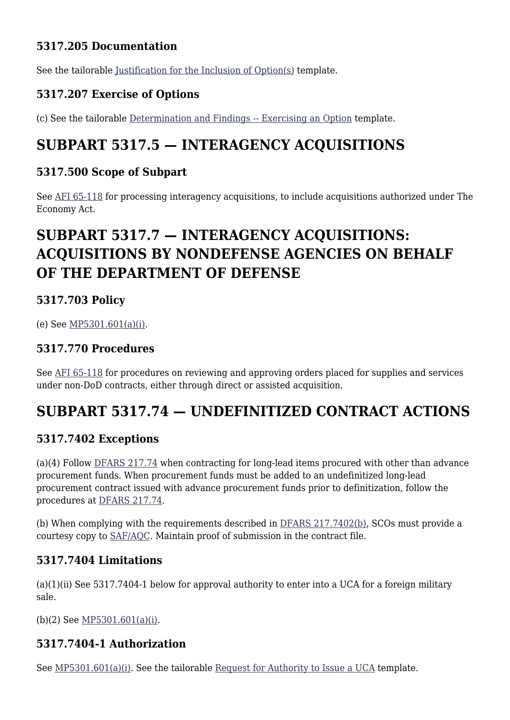### **5317.205 Documentation**

See the tailorable [Justification for the Inclusion of Option\(s\)](https://usaf.dps.mil/sites/AFCC/KnowledgeCenter/contracting_templates/Forms/Grouped_by_FAR_Part.aspx) template.

### **5317.207 Exercise of Options**

(c) See the tailorable [Determination and Findings -- Exercising an Option](https://usaf.dps.mil/sites/AFCC/KnowledgeCenter/contracting_templates/exercising_an_option.pdf) template.

### **SUBPART 5317.5 — INTERAGENCY ACQUISITIONS**

### **5317.500 Scope of Subpart**

See [AFI 65-118](http://static.e-publishing.af.mil/production/1/saf_fm/publication/afi65-118/afi65-118.pdf) for processing interagency acquisitions, to include acquisitions authorized under The Economy Act.

# **SUBPART 5317.7 — INTERAGENCY ACQUISITIONS: ACQUISITIONS BY NONDEFENSE AGENCIES ON BEHALF OF THE DEPARTMENT OF DEFENSE**

### **5317.703 Policy**

(e) See [MP5301.601\(a\)\(i\)](https://origin-www.acquisition.gov/%5Brp:link:affars-mp-AFFARS-MP_PART-mp_5301.601(a)(i)%5D).

### **5317.770 Procedures**

See [AFI 65-118](http://static.e-publishing.af.mil/production/1/saf_fm/publication/afi65-118/afi65-118.pdf) for procedures on reviewing and approving orders placed for supplies and services under non-DoD contracts, either through direct or assisted acquisition.

### **SUBPART 5317.74 — UNDEFINITIZED CONTRACT ACTIONS**

### **5317.7402 Exceptions**

(a)(4) Follow [DFARS 217.74](https://www.acquisition.gov/dfars/part-217-special-contracting-methods#DFARS-SUBPART_217.74) when contracting for long-lead items procured with other than advance procurement funds. When procurement funds must be added to an undefinitized long-lead procurement contract issued with advance procurement funds prior to definitization, follow the procedures at [DFARS 217.74](https://www.acquisition.gov/dfars/part-217-special-contracting-methods#DFARS-SUBPART_217.74)*.*

(b) When complying with the requirements described in [DFARS 217.7402\(b\),](https://www.acquisition.gov/dfars/part-217-special-contracting-methods#DFARS-217.7402) SCOs must provide a courtesy copy to [SAF/AQC](mailto:SAF.AQ.SAF-AQC.Workflow@us.af.mil). Maintain proof of submission in the contract file.

### **5317.7404 Limitations**

 $(a)(1)(ii)$  See 5317.7404-1 below for approval authority to enter into a UCA for a foreign military sale.

(b)(2) See [MP5301.601\(a\)\(i\).](https://origin-www.acquisition.gov/%5Brp:link:affars-mp-AFFARS-MP_PART-mp_5301.601(a)(i)%5D#p531774041)

### **5317.7404-1 Authorization**

See [MP5301.601\(a\)\(i\).](https://origin-www.acquisition.gov/%5Brp:link:affars-mp-AFFARS-MP_PART-mp_5301.601(a)(i)%5D#p531774041) See the tailorable [Request for Authority to Issue a UCA](https://usaf.dps.mil/sites/AFCC/KnowledgeCenter/contracting_templates/request_for_authority_to_issue_UCA.pdf) template.